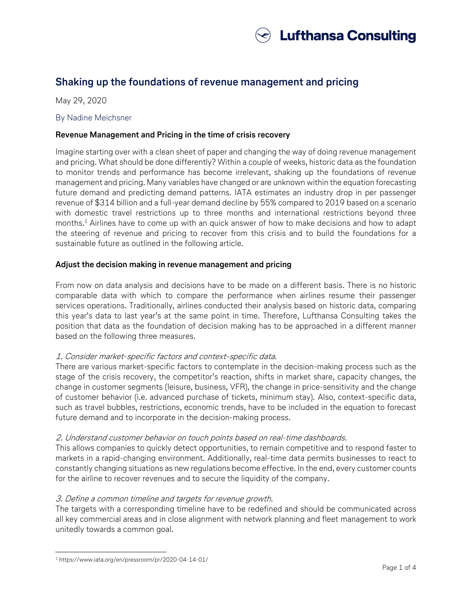

# **Shaking up the foundations of revenue management and pricing**

May 29, 2020

#### By Nadine Meichsner

### **Revenue Management and Pricing in the time of crisis recovery**

Imagine starting over with a clean sheet of paper and changing the way of doing revenue management and pricing. What should be done differently? Within a couple of weeks, historic data as the foundation to monitor trends and performance has become irrelevant, shaking up the foundations of revenue management and pricing. Many variables have changed or are unknown within the equation forecasting future demand and predicting demand patterns. IATA estimates an industry drop in per passenger revenue of \$314 billion and a full-year demand decline by 55% compared to 2019 based on a scenario with domestic travel restrictions up to three months and international restrictions beyond three months. <sup>1</sup> Airlines have to come up with an quick answer of how to make decisions and how to adapt the steering of revenue and pricing to recover from this crisis and to build the foundations for a sustainable future as outlined in the following article.

# **Adjust the decision making in revenue management and pricing**

From now on data analysis and decisions have to be made on a different basis. There is no historic comparable data with which to compare the performance when airlines resume their passenger services operations. Traditionally, airlines conducted their analysis based on historic data, comparing this year's data to last year's at the same point in time. Therefore, Lufthansa Consulting takes the position that data as the foundation of decision making has to be approached in a different manner based on the following three measures.

# 1. Consider market-specific factors and context-specific data.

There are various market-specific factors to contemplate in the decision-making process such as the stage of the crisis recovery, the competitor's reaction, shifts in market share, capacity changes, the change in customer segments (leisure, business, VFR), the change in price-sensitivity and the change of customer behavior (i.e. advanced purchase of tickets, minimum stay). Also, context-specific data, such as travel bubbles, restrictions, economic trends, have to be included in the equation to forecast future demand and to incorporate in the decision-making process.

# 2. Understand customer behavior on touch points based on real-time dashboards.

This allows companies to quickly detect opportunities, to remain competitive and to respond faster to markets in a rapid-changing environment. Additionally, real-time data permits businesses to react to constantly changing situations as new regulations become effective. In the end, every customer counts for the airline to recover revenues and to secure the liquidity of the company.

#### 3. Define a common timeline and targets for revenue growth.

The targets with a corresponding timeline have to be redefined and should be communicated across all key commercial areas and in close alignment with network planning and fleet management to work unitedly towards a common goal.

l <sup>1</sup> https://www.iata.org/en/pressroom/pr/2020-04-14-01/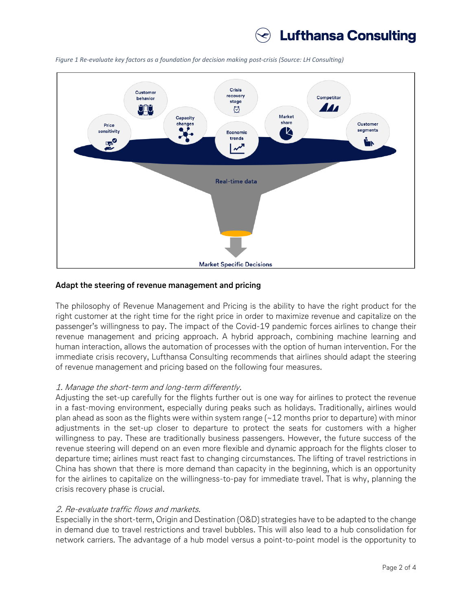



*Figure 1 Re-evaluate key factors as a foundation for decision making post-crisis (Source: LH Consulting)*

#### **Adapt the steering of revenue management and pricing**

The philosophy of Revenue Management and Pricing is the ability to have the right product for the right customer at the right time for the right price in order to maximize revenue and capitalize on the passenger's willingness to pay. The impact of the Covid-19 pandemic forces airlines to change their revenue management and pricing approach. A hybrid approach, combining machine learning and human interaction, allows the automation of processes with the option of human intervention. For the immediate crisis recovery, Lufthansa Consulting recommends that airlines should adapt the steering of revenue management and pricing based on the following four measures.

#### 1. Manage the short-term and long-term differently.

Adjusting the set-up carefully for the flights further out is one way for airlines to protect the revenue in a fast-moving environment, especially during peaks such as holidays. Traditionally, airlines would plan ahead as soon as the flights were within system range  $\sim$  12 months prior to departure) with minor adjustments in the set-up closer to departure to protect the seats for customers with a higher willingness to pay. These are traditionally business passengers. However, the future success of the revenue steering will depend on an even more flexible and dynamic approach for the flights closer to departure time; airlines must react fast to changing circumstances. The lifting of travel restrictions in China has shown that there is more demand than capacity in the beginning, which is an opportunity for the airlines to capitalize on the willingness-to-pay for immediate travel. That is why, planning the crisis recovery phase is crucial.

#### 2. Re-evaluate traffic flows and markets.

Especially in the short-term, Origin and Destination (O&D) strategies have to be adapted to the change in demand due to travel restrictions and travel bubbles. This will also lead to a hub consolidation for network carriers. The advantage of a hub model versus a point-to-point model is the opportunity to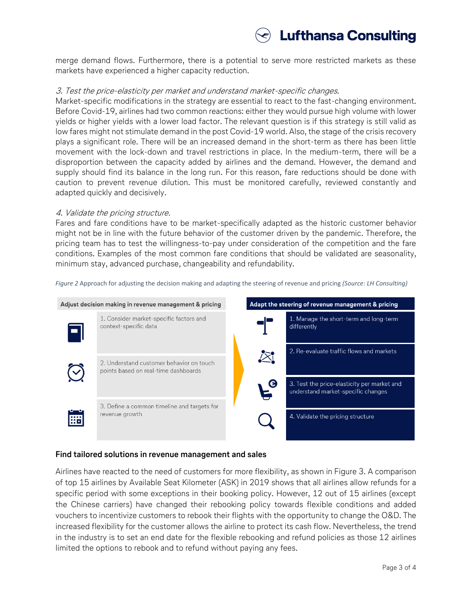# **Lufthansa Consulting**

merge demand flows. Furthermore, there is a potential to serve more restricted markets as these markets have experienced a higher capacity reduction.

#### 3. Test the price-elasticity per market and understand market-specific changes.

Market-specific modifications in the strategy are essential to react to the fast-changing environment. Before Covid-19, airlines had two common reactions: either they would pursue high volume with lower yields or higher yields with a lower load factor. The relevant question is if this strategy is still valid as low fares might not stimulate demand in the post Covid-19 world. Also, the stage of the crisis recovery plays a significant role. There will be an increased demand in the short-term as there has been little movement with the lock-down and travel restrictions in place. In the medium-term, there will be a disproportion between the capacity added by airlines and the demand. However, the demand and supply should find its balance in the long run. For this reason, fare reductions should be done with caution to prevent revenue dilution. This must be monitored carefully, reviewed constantly and adapted quickly and decisively.

#### 4. Validate the pricing structure.

Fares and fare conditions have to be market-specifically adapted as the historic customer behavior might not be in line with the future behavior of the customer driven by the pandemic. Therefore, the pricing team has to test the willingness-to-pay under consideration of the competition and the fare conditions. Examples of the most common fare conditions that should be validated are seasonality, minimum stay, advanced purchase, changeability and refundability.

*Figure 2* Approach for adjusting the decision making and adapting the steering of revenue and pricing *(Source: LH Consulting)*



#### **Find tailored solutions in revenue management and sales**

Airlines have reacted to the need of customers for more flexibility, as shown in Figure 3. A comparison of top 15 airlines by Available Seat Kilometer (ASK) in 2019 shows that all airlines allow refunds for a specific period with some exceptions in their booking policy. However, 12 out of 15 airlines (except the Chinese carriers) have changed their rebooking policy towards flexible conditions and added vouchers to incentivize customers to rebook their flights with the opportunity to change the O&D. The increased flexibility for the customer allows the airline to protect its cash flow. Nevertheless, the trend in the industry is to set an end date for the flexible rebooking and refund policies as those 12 airlines limited the options to rebook and to refund without paying any fees.